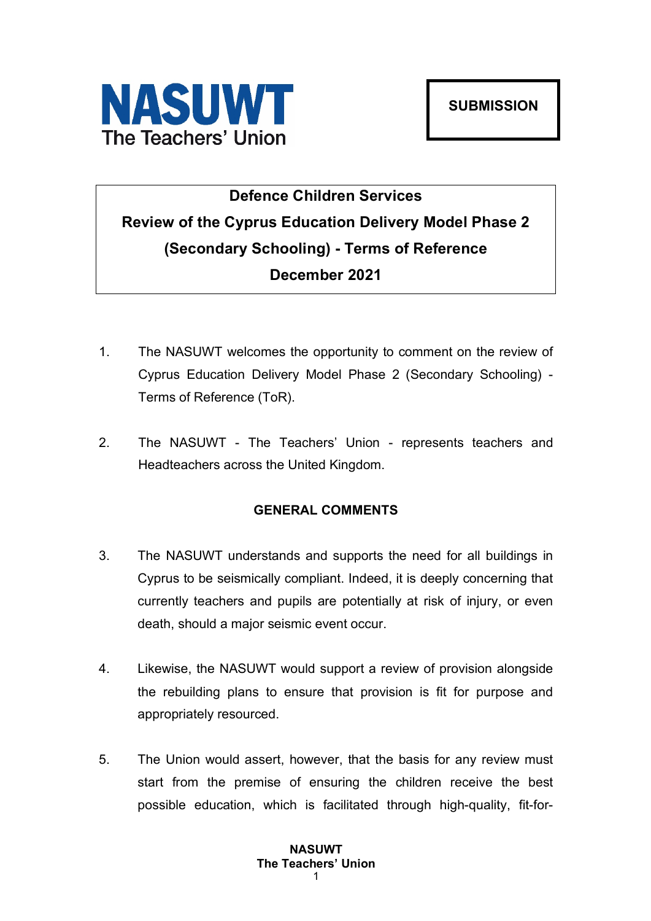

# **Defence Children Services Review of the Cyprus Education Delivery Model Phase 2 (Secondary Schooling) - Terms of Reference December 2021**

- 1. The NASUWT welcomes the opportunity to comment on the review of Cyprus Education Delivery Model Phase 2 (Secondary Schooling) - Terms of Reference (ToR).
- 2. The NASUWT The Teachers' Union represents teachers and Headteachers across the United Kingdom.

# **GENERAL COMMENTS**

- 3. The NASUWT understands and supports the need for all buildings in Cyprus to be seismically compliant. Indeed, it is deeply concerning that currently teachers and pupils are potentially at risk of injury, or even death, should a major seismic event occur.
- 4. Likewise, the NASUWT would support a review of provision alongside the rebuilding plans to ensure that provision is fit for purpose and appropriately resourced.
- 5. The Union would assert, however, that the basis for any review must start from the premise of ensuring the children receive the best possible education, which is facilitated through high-quality, fit-for-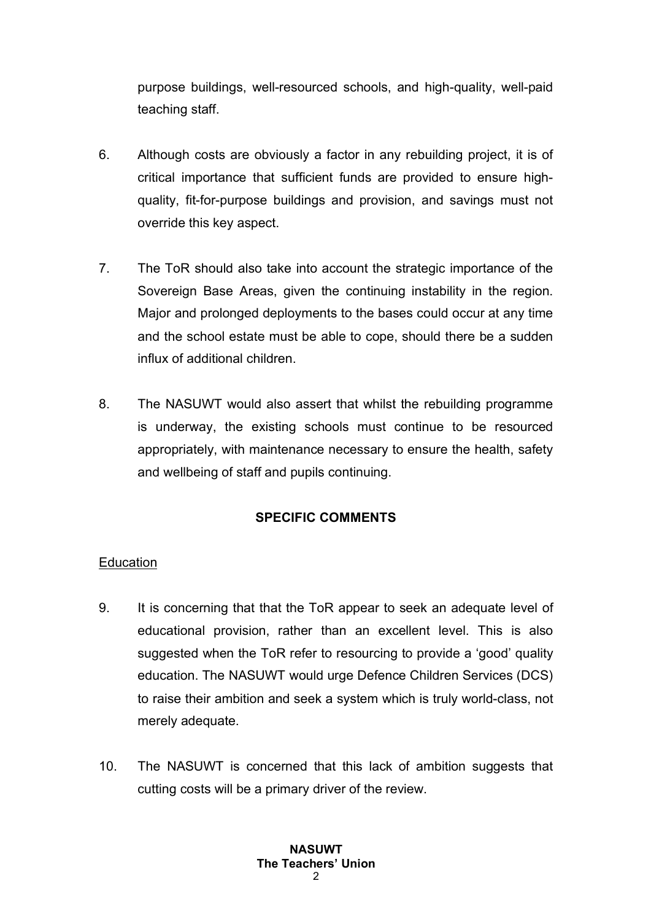purpose buildings, well-resourced schools, and high-quality, well-paid teaching staff.

- 6. Although costs are obviously a factor in any rebuilding project, it is of critical importance that sufficient funds are provided to ensure highquality, fit-for-purpose buildings and provision, and savings must not override this key aspect.
- 7. The ToR should also take into account the strategic importance of the Sovereign Base Areas, given the continuing instability in the region. Major and prolonged deployments to the bases could occur at any time and the school estate must be able to cope, should there be a sudden influx of additional children.
- 8. The NASUWT would also assert that whilst the rebuilding programme is underway, the existing schools must continue to be resourced appropriately, with maintenance necessary to ensure the health, safety and wellbeing of staff and pupils continuing.

# **SPECIFIC COMMENTS**

# Education

- 9. It is concerning that that the ToR appear to seek an adequate level of educational provision, rather than an excellent level. This is also suggested when the ToR refer to resourcing to provide a 'good' quality education. The NASUWT would urge Defence Children Services (DCS) to raise their ambition and seek a system which is truly world-class, not merely adequate.
- 10. The NASUWT is concerned that this lack of ambition suggests that cutting costs will be a primary driver of the review.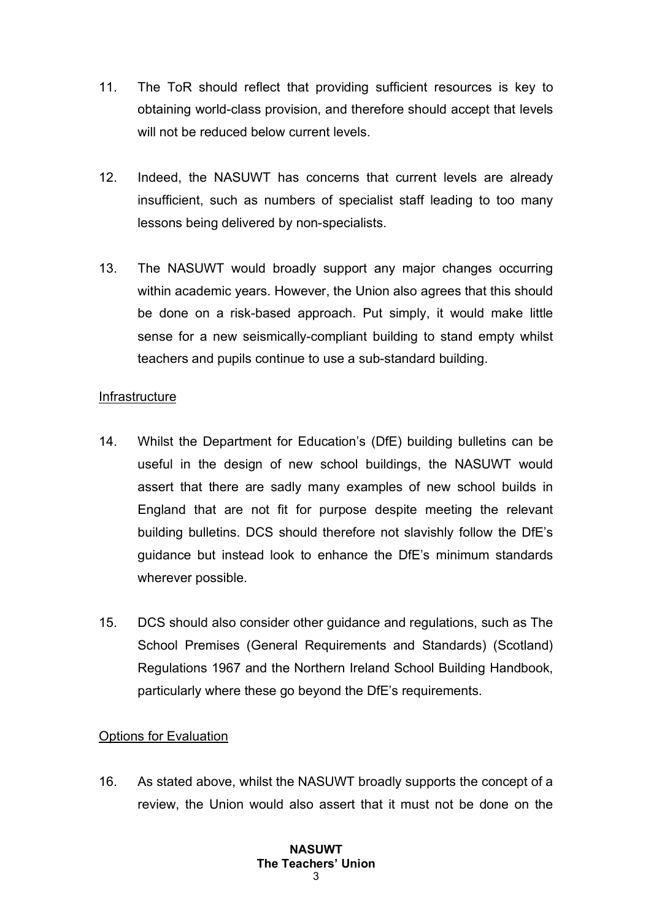- 11. The ToR should reflect that providing sufficient resources is key to obtaining world-class provision, and therefore should accept that levels will not be reduced below current levels.
- 12. Indeed, the NASUWT has concerns that current levels are already insufficient, such as numbers of specialist staff leading to too many lessons being delivered by non-specialists.
- 13. The NASUWT would broadly support any major changes occurring within academic years. However, the Union also agrees that this should be done on a risk-based approach. Put simply, it would make little sense for a new seismically-compliant building to stand empty whilst teachers and pupils continue to use a sub-standard building.

#### Infrastructure

- 14. Whilst the Department for Education's (DfE) building bulletins can be useful in the design of new school buildings, the NASUWT would assert that there are sadly many examples of new school builds in England that are not fit for purpose despite meeting the relevant building bulletins. DCS should therefore not slavishly follow the DfE's guidance but instead look to enhance the DfE's minimum standards wherever possible.
- 15. DCS should also consider other guidance and regulations, such as The School Premises (General Requirements and Standards) (Scotland) Regulations 1967 and the Northern Ireland School Building Handbook, particularly where these go beyond the DfE's requirements.

### Options for Evaluation

16. As stated above, whilst the NASUWT broadly supports the concept of a review, the Union would also assert that it must not be done on the

#### **NASUWT The Teachers' Union**  $\mathbf{z}$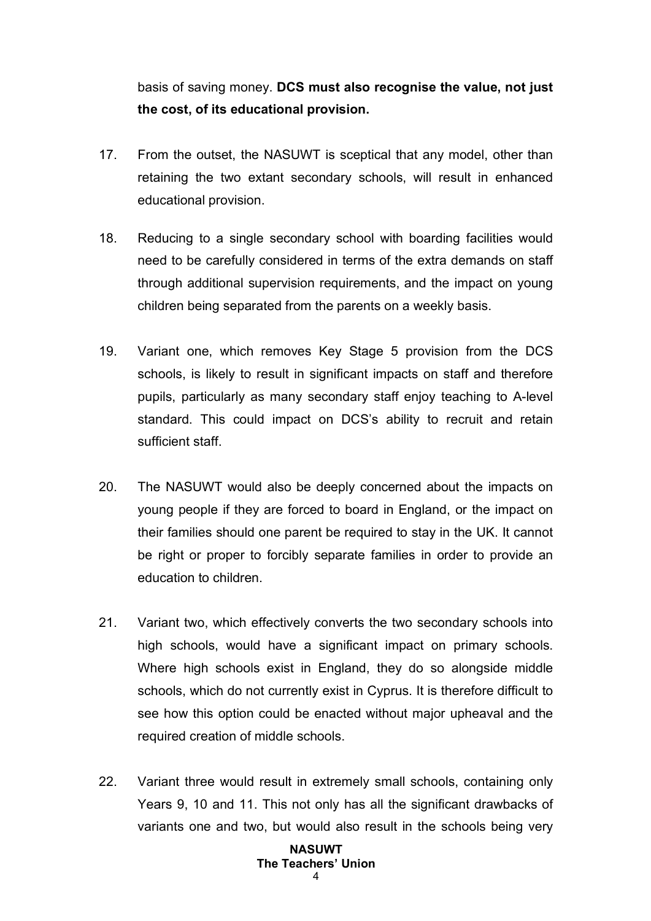basis of saving money. **DCS must also recognise the value, not just the cost, of its educational provision.**

- 17. From the outset, the NASUWT is sceptical that any model, other than retaining the two extant secondary schools, will result in enhanced educational provision.
- 18. Reducing to a single secondary school with boarding facilities would need to be carefully considered in terms of the extra demands on staff through additional supervision requirements, and the impact on young children being separated from the parents on a weekly basis.
- 19. Variant one, which removes Key Stage 5 provision from the DCS schools, is likely to result in significant impacts on staff and therefore pupils, particularly as many secondary staff enjoy teaching to A-level standard. This could impact on DCS's ability to recruit and retain sufficient staff.
- 20. The NASUWT would also be deeply concerned about the impacts on young people if they are forced to board in England, or the impact on their families should one parent be required to stay in the UK. It cannot be right or proper to forcibly separate families in order to provide an education to children.
- 21. Variant two, which effectively converts the two secondary schools into high schools, would have a significant impact on primary schools. Where high schools exist in England, they do so alongside middle schools, which do not currently exist in Cyprus. It is therefore difficult to see how this option could be enacted without major upheaval and the required creation of middle schools.
- 22. Variant three would result in extremely small schools, containing only Years 9, 10 and 11. This not only has all the significant drawbacks of variants one and two, but would also result in the schools being very

# **NASUWT The Teachers' Union**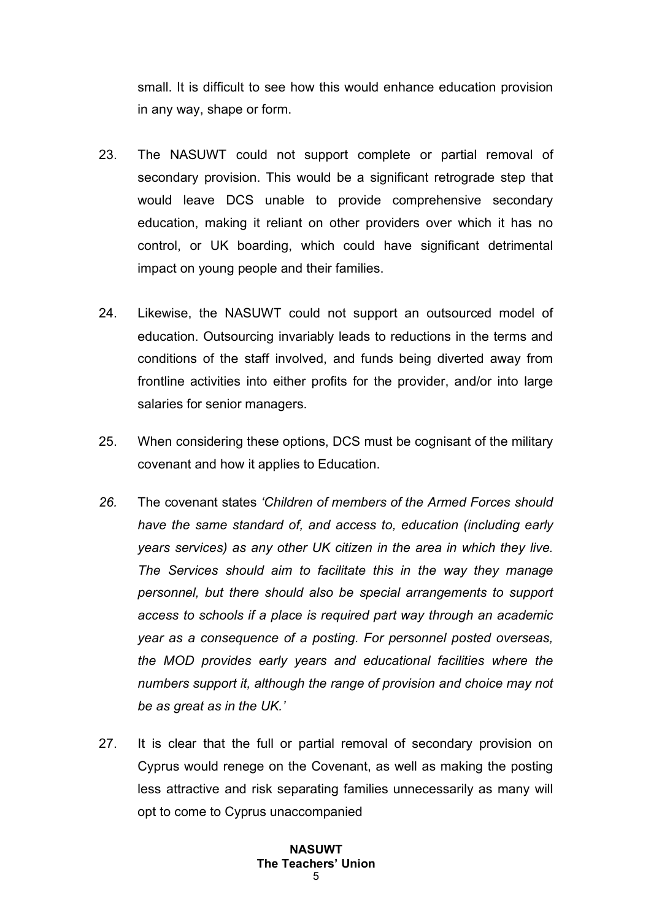small. It is difficult to see how this would enhance education provision in any way, shape or form.

- 23. The NASUWT could not support complete or partial removal of secondary provision. This would be a significant retrograde step that would leave DCS unable to provide comprehensive secondary education, making it reliant on other providers over which it has no control, or UK boarding, which could have significant detrimental impact on young people and their families.
- 24. Likewise, the NASUWT could not support an outsourced model of education. Outsourcing invariably leads to reductions in the terms and conditions of the staff involved, and funds being diverted away from frontline activities into either profits for the provider, and/or into large salaries for senior managers.
- 25. When considering these options, DCS must be cognisant of the military covenant and how it applies to Education.
- *26.* The covenant states *'Children of members of the Armed Forces should have the same standard of, and access to, education (including early years services) as any other UK citizen in the area in which they live. The Services should aim to facilitate this in the way they manage personnel, but there should also be special arrangements to support access to schools if a place is required part way through an academic year as a consequence of a posting. For personnel posted overseas, the MOD provides early years and educational facilities where the numbers support it, although the range of provision and choice may not be as great as in the UK.'*
- 27. It is clear that the full or partial removal of secondary provision on Cyprus would renege on the Covenant, as well as making the posting less attractive and risk separating families unnecessarily as many will opt to come to Cyprus unaccompanied